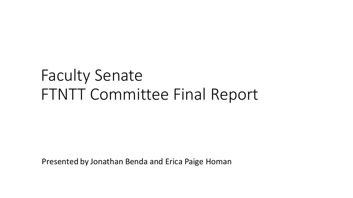# Faculty Senate FTNTT Committee Final Report

Presented by Jonathan Benda and Erica Paige Homan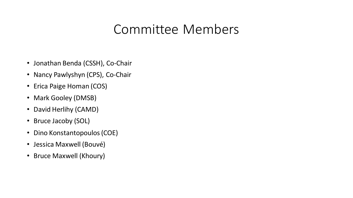## Committee Members

- Jonathan Benda (CSSH), Co-Chair
- Nancy Pawlyshyn (CPS), Co-Chair
- Erica Paige Homan (COS)
- Mark Gooley (DMSB)
- David Herlihy (CAMD)
- Bruce Jacoby (SOL)
- Dino Konstantopoulos (COE)
- Jessica Maxwell (Bouvé)
- Bruce Maxwell (Khoury)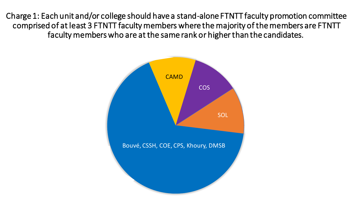Charge 1: Each unit and/or college should have a stand-alone FTNTT faculty promotion committee comprised of at least 3 FTNTT faculty members where the majority of the members are FTNTT faculty members who are at the same rank or higher than the candidates.

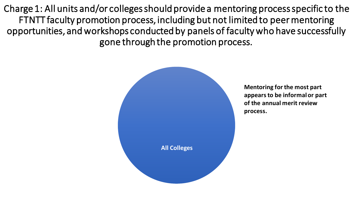Charge 1: All units and/or colleges should provide a mentoring process specific to the FTNTT faculty promotion process, including but not limited to peer mentoring opportunities, and workshops conducted by panels of faculty who have successfully gone through the promotion process.



**Mentoring for the most part appears to be informal or part of the annual merit review process.**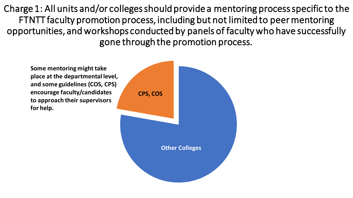Charge 1: All units and/or colleges should provide a mentoring process specific to the FTNTT faculty promotion process, including but not limited to peer mentoring opportunities, and workshops conducted by panels of faculty who have successfully gone through the promotion process.

**Some mentoring might take place at the departmental level, and some guidelines (COS, CPS) encourage faculty/candidates to approach their supervisors for help.**

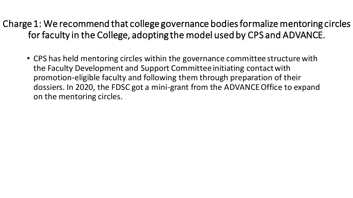Charge 1: We recommend that college governance bodies formalize mentoring circles for faculty in the College, adopting the model used by CPS and ADVANCE.

• CPS has held mentoring circles within the governance committee structure with the Faculty Development and Support Committee initiating contact with promotion-eligible faculty and following them through preparation of their dossiers. In 2020, the FDSC got a mini-grant from the ADVANCE Office to expand on the mentoring circles.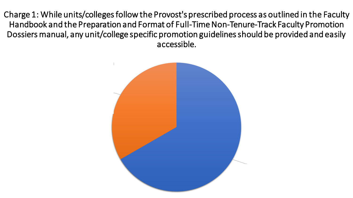Charge 1: While units/colleges follow the Provost's prescribed process as outlined in the Faculty Handbook and the Preparation and Format of Full-Time Non-Tenure-Track Faculty Promotion Dossiers manual, any unit/college specific promotion guidelines should be provided and easily accessible.

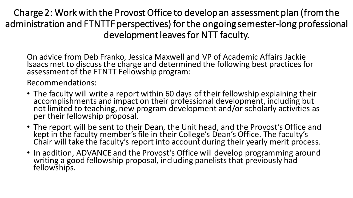Charge 2: Work with the Provost Office to develop an assessment plan (from the administration and FTNTTF perspectives) for the ongoing semester-long professional development leaves for NTT faculty.

On advice from Deb Franko, Jessica Maxwell and VP of Academic Affairs Jackie Isaacs met to discuss the charge and determined the following best practices for assessment of the FTNTT Fellowship program:

Recommendations:

- The faculty will write a report within 60 days of their fellowship explaining their accomplishments and impact on their professional development, including but not limited to teaching, new program development and/or scholarly activities as per their fellowship proposal.
- The report will be sent to their Dean, the Unit head, and the Provost's Office and kept in the faculty member's file in their College's Dean's Office. The faculty's Chair will take the faculty's report into account during their yearly merit process.
- In addition, ADVANCE and the Provost's Office will develop programming around writing a good fellowship proposal, including panelists that previously had fellowships.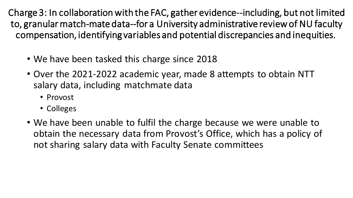Charge 3: In collaboration with the FAC, gather evidence--including, but not limited to, granular match-mate data--for a University administrative review of NU faculty compensation, identifying variables and potential discrepancies and inequities.

- We have been tasked this charge since 2018
- Over the 2021-2022 academic year, made 8 attempts to obtain NTT salary data, including matchmate data
	- Provost
	- Colleges
- We have been unable to fulfil the charge because we were unable to obtain the necessary data from Provost's Office, which has a policy of not sharing salary data with Faculty Senate committees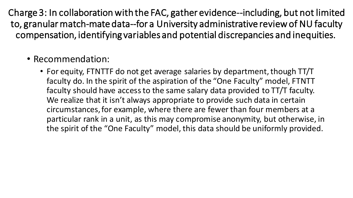Charge 3: In collaboration with the FAC, gather evidence--including, but not limited to, granular match-mate data--for a University administrative review of NU faculty compensation, identifying variables and potential discrepancies and inequities.

### • Recommendation:

• For equity, FTNTTF do not get average salaries by department, though TT/T faculty do. In the spirit of the aspiration of the "One Faculty" model, FTNTT faculty should have access to the same salary data provided to TT/T faculty. We realize that it isn't always appropriate to provide such data in certain circumstances, for example, where there are fewer than four members at a particular rank in a unit, as this may compromise anonymity, but otherwise, in the spirit of the "One Faculty" model, this data should be uniformly provided.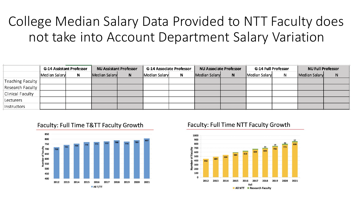## College Median Salary Data Provided to NTT Faculty does not take into Account Department Salary Variation

|                  | <b>G-14 Assistant Professor</b> |   | <b>NU Assistant Professor</b> |   | <b>G-14 Associate Professor</b> |   | <b>NU Associate Professor</b> |   | <b>G-14 Full Professor</b> |  | <b>NU Full Professor</b> |   |
|------------------|---------------------------------|---|-------------------------------|---|---------------------------------|---|-------------------------------|---|----------------------------|--|--------------------------|---|
|                  | Median Salary                   | N | Median Salary                 | N | Median Salary                   | N | <b>Median Salary</b>          | N | Median Salary              |  | Median Salary            | N |
| Teaching Faculty |                                 |   |                               |   |                                 |   |                               |   |                            |  |                          |   |
| Research Faculty |                                 |   |                               |   |                                 |   |                               |   |                            |  |                          |   |
| Clinical Faculty |                                 |   |                               |   |                                 |   |                               |   |                            |  |                          |   |
| Lecturers        |                                 |   |                               |   |                                 |   |                               |   |                            |  |                          |   |
| Instructors      |                                 |   |                               |   |                                 |   |                               |   |                            |  |                          |   |



#### Faculty: Full Time T&TT Faculty Growth

#### Faculty: Full Time NTT Faculty Growth

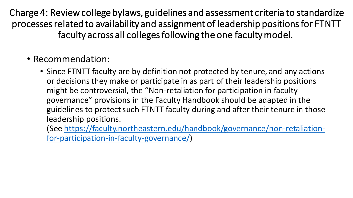Charge 4: Review college bylaws, guidelines and assessment criteria to standardize processes related to availability and assignment of leadership positions for FTNTT faculty across all colleges following the one faculty model.

- Recommendation:
	- Since FTNTT faculty are by definition not protected by tenure, and any actions or decisions they make or participate in as part of their leadership positions might be controversial, the "Non-retaliation for participation in faculty governance" provisions in the Faculty Handbook should be adapted in the guidelines to protect such FTNTT faculty during and after their tenure in those leadership positions.

[\(See https://faculty.northeastern.edu/handbook/governance/non-retaliation](https://faculty.northeastern.edu/handbook/governance/non-retaliation-for-participation-in-faculty-governance/)for-participation-in-faculty-governance/)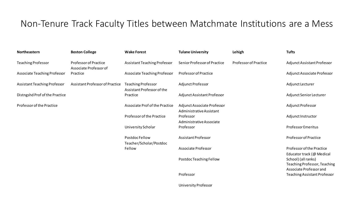### Non-Tenure Track Faculty Titles between Matchmate Institutions are a Mess

| Northeastern                   | <b>Boston College</b>                                  | <b>Wake Forest</b>                                      | <b>Tulane University</b>                                | Lehigh                       | <b>Tufts</b>                                                                   |
|--------------------------------|--------------------------------------------------------|---------------------------------------------------------|---------------------------------------------------------|------------------------------|--------------------------------------------------------------------------------|
| <b>Teaching Professor</b>      | <b>Professor of Practice</b><br>Associate Professor of | Assistant Teaching Professor                            | Senior Professor of Practice                            | <b>Professor of Practice</b> | Adjunct Assistant Professor                                                    |
| Associate Teaching Professor   | Practice                                               | <b>Associate Teaching Professor</b>                     | <b>Professor of Practice</b>                            |                              | Adjunct Associate Professor                                                    |
| Assistant Teaching Professor   | <b>Assistant Professor of Practice</b>                 | <b>Teaching Professor</b><br>Assistant Professor of the | <b>Adjunct Professor</b>                                |                              | Adjunct Lecturer                                                               |
| Distngshd Prof of the Practice |                                                        | Practice                                                | Adjunct Assistant Professor                             |                              | Adjunct Senior Lecturer                                                        |
| Professor of the Practice      |                                                        | Associate Prof of the Practice                          | Adjunct Associate Professor<br>Administrative Assistant |                              | Adjunct Professor                                                              |
|                                |                                                        | Professor of the Practice                               | Professor<br>Administrative Associate                   |                              | Adjunct Instructor                                                             |
|                                |                                                        | University Scholar                                      | Professor                                               |                              | <b>Professor Emeritus</b>                                                      |
|                                |                                                        | Postdoc Fellow<br>Teacher/Scholar/Postdoc               | <b>Assistant Professor</b>                              |                              | <b>Professor of Practice</b>                                                   |
|                                |                                                        | Fellow                                                  | <b>Associate Professor</b>                              |                              | Professor of the Practice<br>Educator track (@ Medical                         |
|                                |                                                        |                                                         | Postdoc Teaching Fellow                                 |                              | School) (all ranks)<br>Teaching Professor, Teaching<br>Associate Professor and |
|                                |                                                        |                                                         | Professor                                               |                              | Teaching Assistant Professor                                                   |

University Professor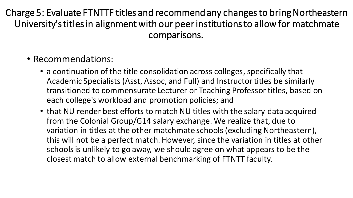Charge 5: Evaluate FTNTTF titles and recommend any changes to bring Northeastern University's titles in alignment with our peer institutions to allow for matchmate comparisons.

- Recommendations:
	- a continuation of the title consolidation across colleges, specifically that Academic Specialists (Asst, Assoc, and Full) and Instructor titles be similarly transitioned to commensurate Lecturer or Teaching Professor titles, based on each college's workload and promotion policies; and
	- that NU render best efforts to match NU titles with the salary data acquired from the Colonial Group/G14 salary exchange. We realize that, due to variation in titles at the other matchmate schools (excluding Northeastern), this will not be a perfect match. However, since the variation in titles at other schools is unlikely to go away, we should agree on what appears to be the closest match to allow external benchmarking of FTNTT faculty.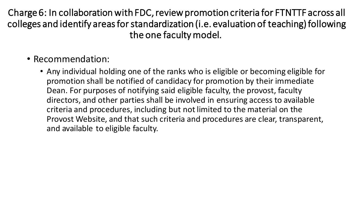Charge 6: In collaboration with FDC, review promotion criteria for FTNTTF across all colleges and identify areas for standardization (i.e. evaluation of teaching) following the one faculty model.

- Recommendation:
	- Any individual holding one of the ranks who is eligible or becoming eligible for promotion shall be notified of candidacy for promotion by their immediate Dean. For purposes of notifying said eligible faculty, the provost, faculty directors, and other parties shall be involved in ensuring access to available criteria and procedures, including but not limited to the material on the Provost Website, and that such criteria and procedures are clear, transparent, and available to eligible faculty.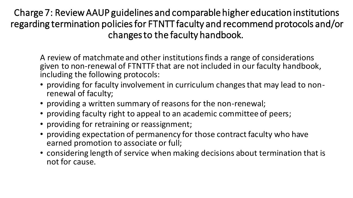Charge 7: Review AAUP guidelines and comparable higher education institutions regarding termination policies for FTNTT faculty and recommend protocols and/or changes to the faculty handbook.

A review of matchmate and other institutions finds a range of considerations given to non-renewal of FTNTTF that are not included in our faculty handbook, including the following protocols:

- providing for faculty involvement in curriculum changes that may lead to nonrenewal of faculty;
- providing a written summary of reasons for the non-renewal;
- providing faculty right to appeal to an academic committee of peers;
- providing for retraining or reassignment;
- providing expectation of permanency for those contract faculty who have earned promotion to associate or full;
- considering length of service when making decisions about termination that is not for cause.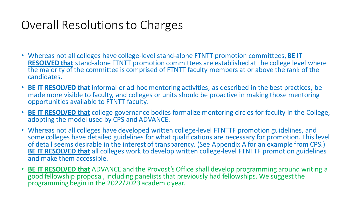## Overall Resolutions to Charges

- Whereas not all colleges have college-level stand-alone FTNTT promotion committees, **BE IT RESOLVED that** stand-alone FTNTT promotion committees are established at the college level where the majority of the committee is comprised of FTNTT faculty members at or above the rank of the candidates.
- **BE IT RESOLVED that** informal or ad-hoc mentoring activities, as described in the best practices, be made more visible to faculty, and colleges or units should be proactive in making those mentoring opportunities available to FTNTT faculty.
- **BE IT RESOLVED that** college governance bodies formalize mentoring circles for faculty in the College, adopting the model used by CPS and ADVANCE.
- Whereas not all colleges have developed written college-level FTNTTF promotion guidelines, and some colleges have detailed guidelines for what qualifications are necessary for promotion. This level of detail seems desirable in the interest of transparency. (See Appendix A for an example from CPS.) **BE IT RESOLVED that** all colleges work to develop written college-level FTNTTF promotion guidelines and make them accessible.
- **BE IT RESOLVED that** ADVANCE and the Provost's Office shall develop programming around writing a good fellowship proposal, including panelists that previously had fellowships. We suggest the programming begin in the 2022/2023 academic year.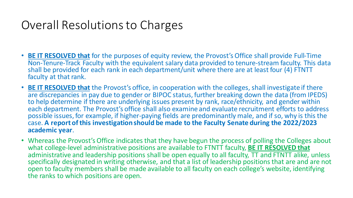## Overall Resolutions to Charges

- **BE IT RESOLVED that** for the purposes of equity review, the Provost's Office shall provide Full-Time Non-Tenure-Track Faculty with the equivalent salary data provided to tenure-stream faculty. This data shall be provided for each rank in each department/unit where there are at least four (4) FTNTT faculty at that rank.
- **BE IT RESOLVED that** the Provost's office, in cooperation with the colleges, shall investigate if there are discrepancies in pay due to gender or BIPOC status, further breaking down the data (from IPEDS) to help determine if there are underlying issues present by rank, race/ethnicity, and gender within each department. The Provost's office shall also examine and evaluate recruitment efforts to address possible issues, for example, if higher-paying fields are predominantly male, and if so, why is this the case. **A report of this investigation should be made to the Faculty Senate during the 2022/2023 academic year**.
- Whereas the Provost's Office indicates that they have begun the process of polling the Colleges about what college-level administrative positions are available to FTNTT faculty, **BE IT RESOLVED that** administrative and leadership positions shall be open equally to all faculty, TT and FTNTT alike, unless specifically designated in writing otherwise, and that a list of leadership positions that are and are not open to faculty members shall be made available to all faculty on each college's website, identifying the ranks to which positions are open.